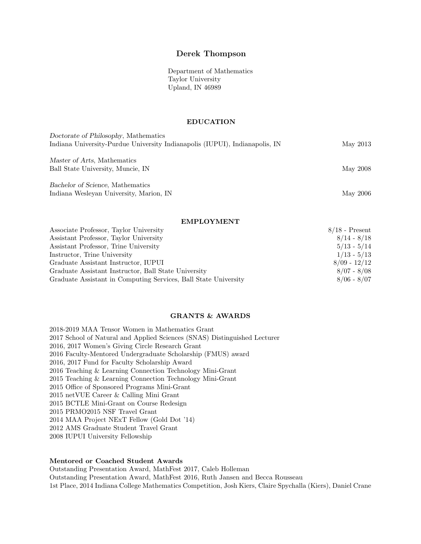# Derek Thompson

Department of Mathematics Taylor University Upland, IN 46989

### EDUCATION

| Doctorate of Philosophy, Mathematics                                        |          |
|-----------------------------------------------------------------------------|----------|
| Indiana University-Purdue University Indianapolis (IUPUI), Indianapolis, IN | May 2013 |
| <i>Master of Arts</i> , Mathematics                                         |          |
| Ball State University, Muncie, IN                                           | May 2008 |
| Bachelor of Science, Mathematics                                            |          |
| Indiana Wesleyan University, Marion, IN                                     | May 2006 |

#### EMPLOYMENT

| Associate Professor, Taylor University                          | $8/18$ - Present |
|-----------------------------------------------------------------|------------------|
| Assistant Professor, Taylor University                          | $8/14 - 8/18$    |
| Assistant Professor, Trine University                           | $5/13 - 5/14$    |
| Instructor, Trine University                                    | $1/13 - 5/13$    |
| Graduate Assistant Instructor, IUPUI                            | $8/09 - 12/12$   |
| Graduate Assistant Instructor, Ball State University            | $8/07 - 8/08$    |
| Graduate Assistant in Computing Services, Ball State University | $8/06 - 8/07$    |

### GRANTS & AWARDS

2018-2019 MAA Tensor Women in Mathematics Grant 2017 School of Natural and Applied Sciences (SNAS) Distinguished Lecturer 2016, 2017 Women's Giving Circle Research Grant 2016 Faculty-Mentored Undergraduate Scholarship (FMUS) award 2016, 2017 Fund for Faculty Scholarship Award 2016 Teaching & Learning Connection Technology Mini-Grant 2015 Teaching & Learning Connection Technology Mini-Grant 2015 Office of Sponsored Programs Mini-Grant 2015 netVUE Career & Calling Mini Grant 2015 BCTLE Mini-Grant on Course Redesign 2015 PRMO2015 NSF Travel Grant 2014 MAA Project NExT Fellow (Gold Dot '14) 2012 AMS Graduate Student Travel Grant 2008 IUPUI University Fellowship

# Mentored or Coached Student Awards

Outstanding Presentation Award, MathFest 2017, Caleb Holleman Outstanding Presentation Award, MathFest 2016, Ruth Jansen and Becca Rousseau 1st Place, 2014 Indiana College Mathematics Competition, Josh Kiers, Claire Spychalla (Kiers), Daniel Crane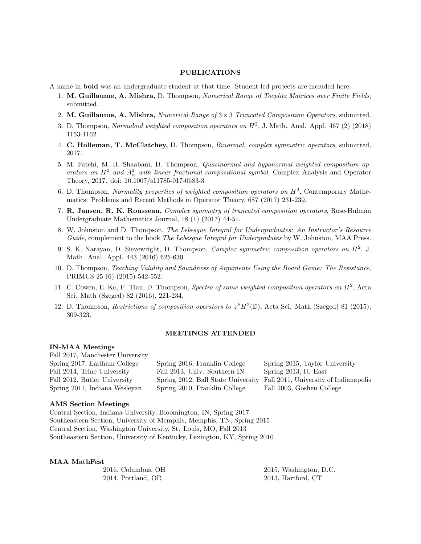### PUBLICATIONS

A name in bold was an undergraduate student at that time. Student-led projects are included here.

- 1. M. Guillaume, A. Mishra, D. Thompson, Numerical Range of Toeplitz Matrices over Finite Fields, submitted.
- 2. M. Guillaume, A. Mishra, Numerical Range of  $3 \times 3$  Truncated Composition Operators, submitted.
- 3. D. Thompson, Normaloid weighted composition operators on  $H^2$ , J. Math. Anal. Appl. 467 (2) (2018) 1153-1162.
- 4. C. Holleman, T. McClatchey, D. Thompson, Binormal, complex symmetric operators, submitted, 2017.
- 5. M. Fatehi, M. H. Shaabani, D. Thompson, Quasinormal and hyponormal weighted composition operators on  $H^2$  and  $A^2_\alpha$  with linear fractional compositional symbol, Complex Analysis and Operator Theory, 2017. doi: 10.1007/s11785-017-0683-3
- 6. D. Thompson, Normality properties of weighted composition operators on  $H^2$ , Contemporary Mathematics: Problems and Recent Methods in Operator Theory, 687 (2017) 231-239.
- 7. R. Jansen, R. K. Rousseau, Complex symmetry of truncated composition operators, Rose-Hulman Undergraduate Mathematics Journal, 18 (1) (2017) 44-51.
- 8. W. Johnston and D. Thompson, The Lebesgue Integral for Undergraduates: An Instructor's Resource Guide, complement to the book The Lebesgue Integral for Undergradutes by W. Johnston, MAA Press.
- 9. S. K. Narayan, D. Sievewright, D. Thompson, Complex symmetric composition operators on  $H^2$ , J. Math. Anal. Appl. 443 (2016) 625-630.
- 10. D. Thompson, Teaching Validity and Soundness of Arguments Using the Board Game: The Resistance, PRIMUS 25 (6) (2015) 542-552.
- 11. C. Cowen, E. Ko, F. Tian, D. Thompson, Spectra of some weighted composition operators on  $H^2$ , Acta Sci. Math (Szeged) 82 (2016), 221-234.
- 12. D. Thompson, Restrictions of composition operators to  $z^k H^2(\mathbb{D})$ , Acta Sci. Math (Szeged) 81 (2015), 309-323.

### MEETINGS ATTENDED

#### IN-MAA Meetings

Fall 2017, Manchester University Spring 2017, Earlham College Spring 2016, Franklin College Spring 2015, Taylor University Fall 2014, Trine University Fall 2013, Univ. Southern IN Spring 2013, IU East Fall 2012, Butler University Spring 2012, Ball State University Fall 2011, University of Indianapolis Spring 2011, Indiana Wesleyan Spring 2010, Franklin College Fall 2003, Goshen College

## AMS Section Meetings

Central Section, Indiana University, Bloomington, IN, Spring 2017 Southeastern Section, University of Memphis, Memphis, TN, Spring 2015 Central Section, Washington University, St. Louis, MO, Fall 2013 Southeastern Section, University of Kentucky, Lexington, KY, Spring 2010

#### MAA MathFest

2016, Columbus, OH 2015, Washington, D.C. 2014, Portland, OR 2013, Hartford, CT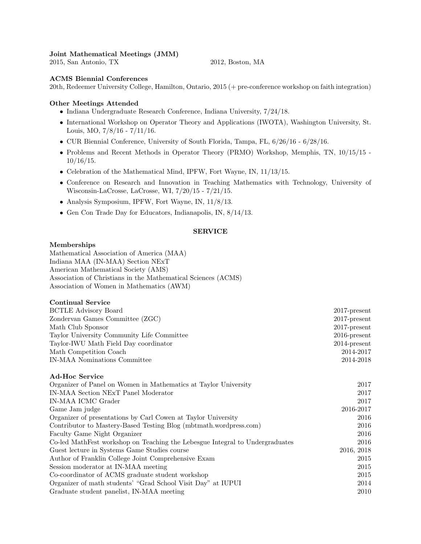## Joint Mathematical Meetings (JMM)

2015, San Antonio, TX 2012, Boston, MA

# ACMS Biennial Conferences

20th, Redeemer University College, Hamilton, Ontario, 2015 (+ pre-conference workshop on faith integration)

# Other Meetings Attended

- Indiana Undergraduate Research Conference, Indiana University, 7/24/18.
- International Workshop on Operator Theory and Applications (IWOTA), Washington University, St. Louis, MO, 7/8/16 - 7/11/16.
- CUR Biennial Conference, University of South Florida, Tampa, FL, 6/26/16 6/28/16.
- Problems and Recent Methods in Operator Theory (PRMO) Workshop, Memphis, TN, 10/15/15  $10/16/15$ .
- Celebration of the Mathematical Mind, IPFW, Fort Wayne, IN, 11/13/15.
- Conference on Research and Innovation in Teaching Mathematics with Technology, University of Wisconsin-LaCrosse, LaCrosse, WI, 7/20/15 - 7/21/15.
- Analysis Symposium, IPFW, Fort Wayne, IN, 11/8/13.
- Gen Con Trade Day for Educators, Indianapolis, IN, 8/14/13.

# SERVICE

## Memberships

Mathematical Association of America (MAA) Indiana MAA (IN-MAA) Section NExT American Mathematical Society (AMS) Association of Christians in the Mathematical Sciences (ACMS) Association of Women in Mathematics (AWM)

## Continual Service

| <b>BCTLE Advisory Board</b>                | $2017$ -present |
|--------------------------------------------|-----------------|
| Zondervan Games Committee (ZGC)            | $2017$ -present |
| Math Club Sponsor                          | $2017$ -present |
| Taylor University Community Life Committee | $2016$ -present |
| Taylor-IWU Math Field Day coordinator      | $2014$ -present |
| Math Competition Coach                     | 2014-2017       |
| <b>IN-MAA</b> Nominations Committee        | 2014-2018       |
|                                            |                 |

## Ad-Hoc Service

| IN-MAA Section NExT Panel Moderator<br>IN-MAA ICMC Grader<br>Game Jam judge<br>Organizer of presentations by Carl Cowen at Taylor University<br>Contributor to Mastery-Based Testing Blog (mbtmath.wordpress.com)<br>Faculty Game Night Organizer<br>Co-led MathFest workshop on Teaching the Lebesgue Integral to Undergraduates<br>Guest lecture in Systems Game Studies course<br>Author of Franklin College Joint Comprehensive Exam<br>Session moderator at IN-MAA meeting<br>Co-coordinator of ACMS graduate student workshop<br>Organizer of math students' "Grad School Visit Day" at IUPUI<br>Graduate student panelist, IN-MAA meeting | Organizer of Panel on Women in Mathematics at Taylor University | 2017       |
|--------------------------------------------------------------------------------------------------------------------------------------------------------------------------------------------------------------------------------------------------------------------------------------------------------------------------------------------------------------------------------------------------------------------------------------------------------------------------------------------------------------------------------------------------------------------------------------------------------------------------------------------------|-----------------------------------------------------------------|------------|
|                                                                                                                                                                                                                                                                                                                                                                                                                                                                                                                                                                                                                                                  |                                                                 | 2017       |
|                                                                                                                                                                                                                                                                                                                                                                                                                                                                                                                                                                                                                                                  |                                                                 | 2017       |
|                                                                                                                                                                                                                                                                                                                                                                                                                                                                                                                                                                                                                                                  |                                                                 | 2016-2017  |
|                                                                                                                                                                                                                                                                                                                                                                                                                                                                                                                                                                                                                                                  |                                                                 | 2016       |
|                                                                                                                                                                                                                                                                                                                                                                                                                                                                                                                                                                                                                                                  |                                                                 | 2016       |
|                                                                                                                                                                                                                                                                                                                                                                                                                                                                                                                                                                                                                                                  |                                                                 | 2016       |
|                                                                                                                                                                                                                                                                                                                                                                                                                                                                                                                                                                                                                                                  |                                                                 | 2016       |
|                                                                                                                                                                                                                                                                                                                                                                                                                                                                                                                                                                                                                                                  |                                                                 | 2016, 2018 |
|                                                                                                                                                                                                                                                                                                                                                                                                                                                                                                                                                                                                                                                  |                                                                 | 2015       |
|                                                                                                                                                                                                                                                                                                                                                                                                                                                                                                                                                                                                                                                  |                                                                 | 2015       |
|                                                                                                                                                                                                                                                                                                                                                                                                                                                                                                                                                                                                                                                  |                                                                 | 2015       |
|                                                                                                                                                                                                                                                                                                                                                                                                                                                                                                                                                                                                                                                  |                                                                 | 2014       |
|                                                                                                                                                                                                                                                                                                                                                                                                                                                                                                                                                                                                                                                  |                                                                 | 2010       |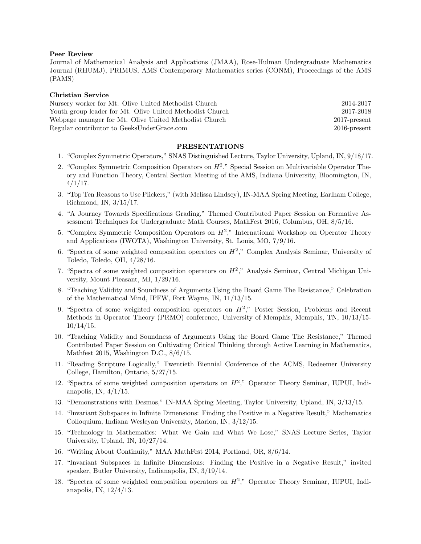### Peer Review

Journal of Mathematical Analysis and Applications (JMAA), Rose-Hulman Undergraduate Mathematics Journal (RHUMJ), PRIMUS, AMS Contemporary Mathematics series (CONM), Proceedings of the AMS (PAMS)

### Christian Service

| 2014-2017       |
|-----------------|
| 2017-2018       |
| $2017$ -present |
| $2016$ -present |
|                 |

### PRESENTATIONS

- 1. "Complex Symmetric Operators," SNAS Distinguished Lecture, Taylor University, Upland, IN, 9/18/17.
- 2. "Complex Symmetric Composition Operators on  $H^2$ ," Special Session on Multivariable Operator Theory and Function Theory, Central Section Meeting of the AMS, Indiana University, Bloomington, IN,  $4/1/17$ .
- 3. "Top Ten Reasons to Use Plickers," (with Melissa Lindsey), IN-MAA Spring Meeting, Earlham College, Richmond, IN, 3/15/17.
- 4. "A Journey Towards Specifications Grading," Themed Contributed Paper Session on Formative Assessment Techniques for Undergraduate Math Courses, MathFest 2016, Columbus, OH, 8/5/16.
- 5. "Complex Symmetric Composition Operators on  $H^2$ ," International Workshop on Operator Theory and Applications (IWOTA), Washington University, St. Louis, MO, 7/9/16.
- 6. "Spectra of some weighted composition operators on  $H^2$ ," Complex Analysis Seminar, University of Toledo, Toledo, OH, 4/28/16.
- 7. "Spectra of some weighted composition operators on  $H^2$ ," Analysis Seminar, Central Michigan University, Mount Pleasant, MI, 1/29/16.
- 8. "Teaching Validity and Soundness of Arguments Using the Board Game The Resistance," Celebration of the Mathematical Mind, IPFW, Fort Wayne, IN, 11/13/15.
- 9. "Spectra of some weighted composition operators on  $H^2$ ," Poster Session, Problems and Recent Methods in Operator Theory (PRMO) conference, University of Memphis, Memphis, TN, 10/13/15- 10/14/15.
- 10. "Teaching Validity and Soundness of Arguments Using the Board Game The Resistance," Themed Contributed Paper Session on Cultivating Critical Thinking through Active Learning in Mathematics, Mathfest 2015, Washington D.C., 8/6/15.
- 11. "Reading Scripture Logically," Twentieth Biennial Conference of the ACMS, Redeemer University College, Hamilton, Ontario, 5/27/15.
- 12. "Spectra of some weighted composition operators on  $H^2$ ," Operator Theory Seminar, IUPUI, Indianapolis, IN, 4/1/15.
- 13. "Demonstrations with Desmos," IN-MAA Spring Meeting, Taylor University, Upland, IN, 3/13/15.
- 14. "Invariant Subspaces in Infinite Dimensions: Finding the Positive in a Negative Result," Mathematics Colloquium, Indiana Wesleyan University, Marion, IN, 3/12/15.
- 15. "Technology in Mathematics: What We Gain and What We Lose," SNAS Lecture Series, Taylor University, Upland, IN, 10/27/14.
- 16. "Writing About Continuity," MAA MathFest 2014, Portland, OR, 8/6/14.
- 17. "Invariant Subspaces in Infinite Dimensions: Finding the Positive in a Negative Result," invited speaker, Butler University, Indianapolis, IN, 3/19/14.
- 18. "Spectra of some weighted composition operators on  $H^2$ ," Operator Theory Seminar, IUPUI, Indianapolis, IN, 12/4/13.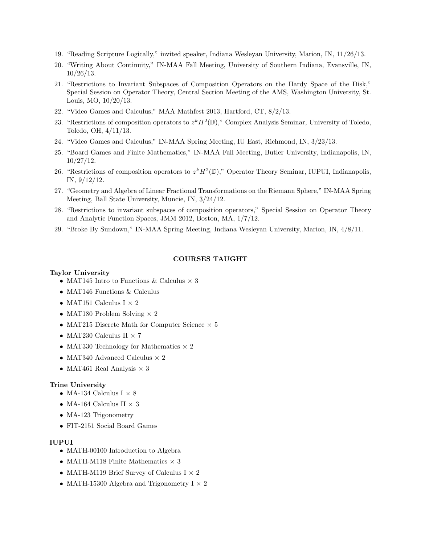- 19. "Reading Scripture Logically," invited speaker, Indiana Wesleyan University, Marion, IN, 11/26/13.
- 20. "Writing About Continuity," IN-MAA Fall Meeting, University of Southern Indiana, Evansville, IN, 10/26/13.
- 21. "Restrictions to Invariant Subspaces of Composition Operators on the Hardy Space of the Disk," Special Session on Operator Theory, Central Section Meeting of the AMS, Washington University, St. Louis, MO, 10/20/13.
- 22. "Video Games and Calculus," MAA Mathfest 2013, Hartford, CT, 8/2/13.
- 23. "Restrictions of composition operators to  $z^k H^2(\mathbb{D})$ ," Complex Analysis Seminar, University of Toledo, Toledo, OH, 4/11/13.
- 24. "Video Games and Calculus," IN-MAA Spring Meeting, IU East, Richmond, IN, 3/23/13.
- 25. "Board Games and Finite Mathematics," IN-MAA Fall Meeting, Butler University, Indianapolis, IN, 10/27/12.
- 26. "Restrictions of composition operators to  $z<sup>k</sup> H<sup>2</sup>(\mathbb{D})$ ," Operator Theory Seminar, IUPUI, Indianapolis, IN, 9/12/12.
- 27. "Geometry and Algebra of Linear Fractional Transformations on the Riemann Sphere," IN-MAA Spring Meeting, Ball State University, Muncie, IN, 3/24/12.
- 28. "Restrictions to invariant subspaces of composition operators," Special Session on Operator Theory and Analytic Function Spaces, JMM 2012, Boston, MA, 1/7/12.
- 29. "Broke By Sundown," IN-MAA Spring Meeting, Indiana Wesleyan University, Marion, IN, 4/8/11.

#### COURSES TAUGHT

### Taylor University

- MAT145 Intro to Functions & Calculus  $\times$  3
- MAT146 Functions & Calculus
- MAT151 Calculus I  $\times$  2
- MAT180 Problem Solving  $\times$  2
- MAT215 Discrete Math for Computer Science  $\times$  5
- MAT230 Calculus II  $\times$  7
- MAT330 Technology for Mathematics  $\times$  2
- MAT340 Advanced Calculus  $\times$  2
- MAT461 Real Analysis  $\times$  3

#### Trine University

- MA-134 Calculus I  $\times$  8
- MA-164 Calculus II $\times$  3
- MA-123 Trigonometry
- FIT-2151 Social Board Games

### IUPUI

- MATH-00100 Introduction to Algebra
- <br>• MATH-M118 Finite Mathematics  $\times$  3
- MATH-M119 Brief Survey of Calculus I  $\times$  2
- MATH-15300 Algebra and Trigonometry  $I \times 2$